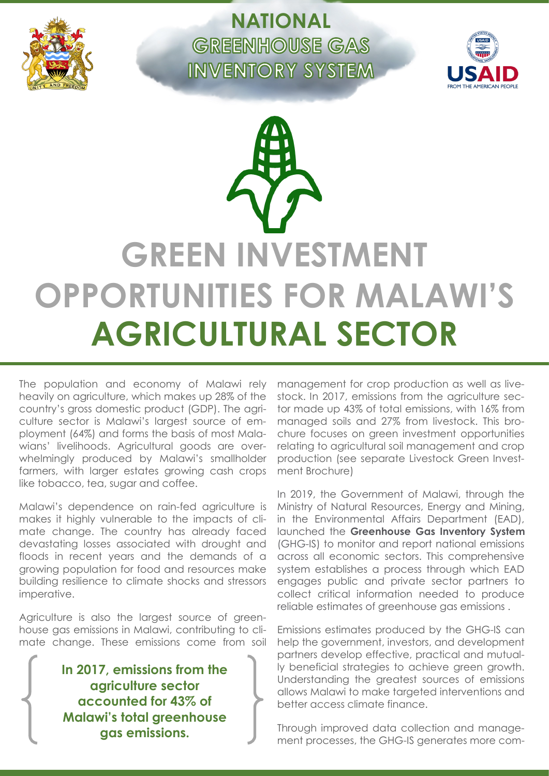

**NATIONAL GREENHOUSE GAS INVENTORY SYSTEM** 



**GREEN INVESTMENT OPPORTUNITIES FOR MALAWI'S AGRICULTURAL SECTOR**

The population and economy of Malawi rely heavily on agriculture, which makes up 28% of the country's gross domestic product (GDP). The agriculture sector is Malawi's largest source of employment (64%) and forms the basis of most Malawians' livelihoods. Agricultural goods are overwhelmingly produced by Malawi's smallholder farmers, with larger estates growing cash crops like tobacco, tea, sugar and coffee.

Malawi's dependence on rain-fed agriculture is makes it highly vulnerable to the impacts of climate change. The country has already faced devastating losses associated with drought and floods in recent years and the demands of a growing population for food and resources make building resilience to climate shocks and stressors imperative.

Agriculture is also the largest source of greenhouse gas emissions in Malawi, contributing to climate change. These emissions come from soil

> **In 2017, emissions from the agriculture sector accounted for 43% of Malawi's total greenhouse gas emissions.**

management for crop production as well as livestock. In 2017, emissions from the agriculture sector made up 43% of total emissions, with 16% from managed soils and 27% from livestock. This brochure focuses on green investment opportunities relating to agricultural soil management and crop production (see separate Livestock Green Investment Brochure)

In 2019, the Government of Malawi, through the Ministry of Natural Resources, Energy and Mining, in the Environmental Affairs Department (EAD), launched the **Greenhouse Gas Inventory System** (GHG-IS) to monitor and report national emissions across all economic sectors. This comprehensive system establishes a process through which EAD engages public and private sector partners to collect critical information needed to produce reliable estimates of greenhouse gas emissions .

Emissions estimates produced by the GHG-IS can help the government, investors, and development partners develop effective, practical and mutually beneficial strategies to achieve green growth. Understanding the greatest sources of emissions allows Malawi to make targeted interventions and better access climate finance.

Through improved data collection and management processes, the GHG-IS generates more com-